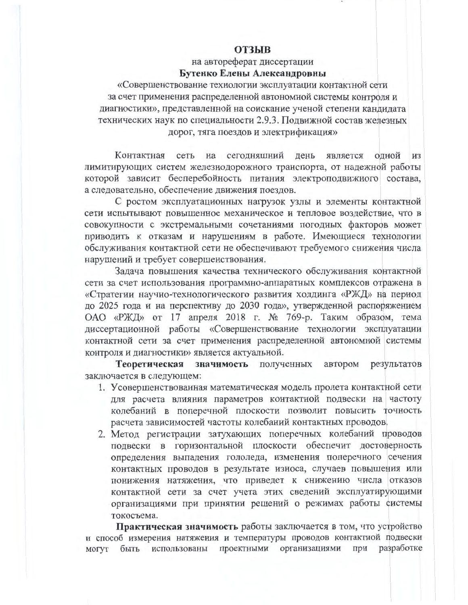## **ОТЗЫВ**

на автореферат диссертации Бутенко Елены Александровны

«Совершенствование технологии эксплуатации контактной сети за счет применения распределенной автономной системы контроля и диагностики», представленной на соискание ученой степени кандидата технических наук по специальности 2.9.3. Подвижной состав железных дорог, тяга поездов и электрификация»

Контактная сеть на сегодняшний день является одной из лимитирующих систем железнодорожного транспорта, от надежной работы которой зависит бесперебойность питания электроподвижного состава, а следовательно, обеспечение движения поездов.

С ростом эксплуатационных нагрузок узлы и элементы контактной сети испытывают повышенное механическое и тепловое воздействие, что в совокупности с экстремальными сочетаниями погодных факторов может приводить к отказам и нарушениям в работе. Имеющиеся технологии обслуживания контактной сети не обеспечивают требуемого снижения числа нарушений и требует совершенствования.

Задача повышения качества технического обслуживания контактной сети за счет использования программно-аппаратных комплексов отражена в «Стратегии научно-технологического развития холдинга «РЖД» на период до 2025 года и на перспективу до 2030 года», утвержденной распоряжением ОАО «РЖД» от 17 апреля 2018 г. № 769-р. Таким образом, тема диссертационной работы «Совершенствование технологии эксплуатации контактной сети за счет применения распределенной автономной системы контроля и диагностики» является актуальной.

Теоретическая значимость полученных автором результатов заключается в следующем:

- 1. Усовершенствованная математическая модель пролета контактной сети для расчета влияния параметров контактной подвески на частоту колебаний в поперечной плоскости позволит повысить точность расчета зависимостей частоты колебаний контактных проводов.
- 2. Метод регистрации затухающих поперечных колебаний проводов подвески в горизонтальной плоскости обеспечит достоверность определения выпадения гололеда, изменения поперечного сечения контактных проводов в результате износа, случаев повышения или понижения натяжения, что приведет к снижению числа отказов контактной сети за счет учета этих сведений эксплуатирующими организациями при принятии решений о режимах работы системы токосъема.

Практическая значимость работы заключается в том, что устройство и способ измерения натяжения и температуры проводов контактной подвески использованы проектными организациями при разработке быть МОГУТ